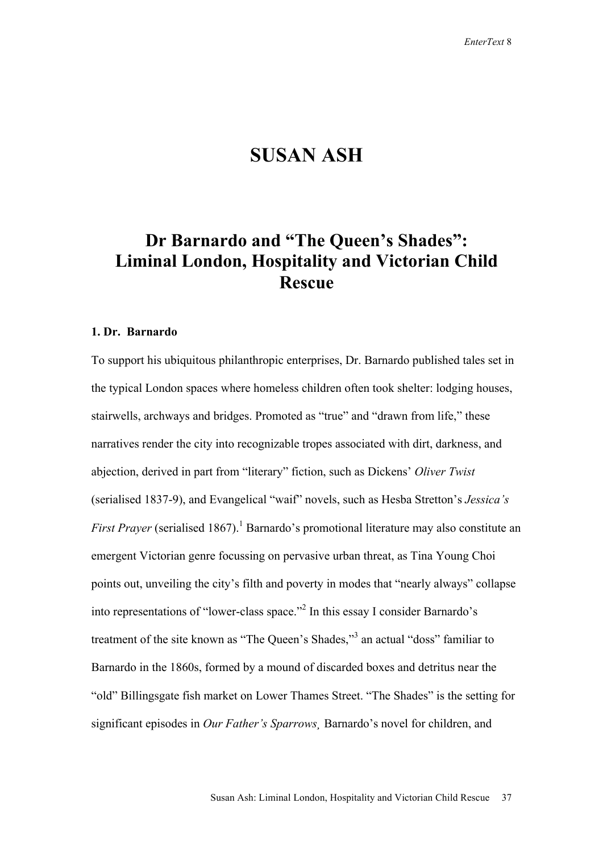## **SUSAN ASH**

# **Dr Barnardo and "The Queen's Shades": Liminal London, Hospitality and Victorian Child Rescue**

### **1. Dr. Barnardo**

To support his ubiquitous philanthropic enterprises, Dr. Barnardo published tales set in the typical London spaces where homeless children often took shelter: lodging houses, stairwells, archways and bridges. Promoted as "true" and "drawn from life," these narratives render the city into recognizable tropes associated with dirt, darkness, and abjection, derived in part from "literary" fiction, such as Dickens' *Oliver Twist*  (serialised 1837-9), and Evangelical "waif" novels, such as Hesba Stretton's *Jessica's First Prayer* (serialised 1867).<sup>1</sup> Barnardo's promotional literature may also constitute an emergent Victorian genre focussing on pervasive urban threat, as Tina Young Choi points out, unveiling the city's filth and poverty in modes that "nearly always" collapse into representations of "lower-class space."<sup>2</sup> In this essay I consider Barnardo's treatment of the site known as "The Queen's Shades,"<sup>3</sup> an actual "doss" familiar to Barnardo in the 1860s, formed by a mound of discarded boxes and detritus near the "old" Billingsgate fish market on Lower Thames Street. "The Shades" is the setting for significant episodes in *Our Father's Sparrows¸* Barnardo's novel for children, and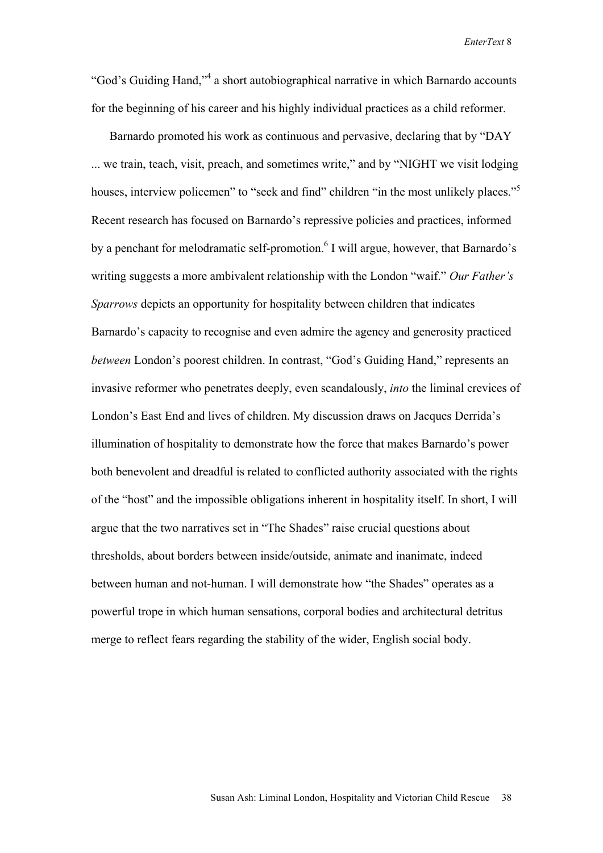"God's Guiding Hand,"<sup>4</sup> a short autobiographical narrative in which Barnardo accounts for the beginning of his career and his highly individual practices as a child reformer.

Barnardo promoted his work as continuous and pervasive, declaring that by "DAY ... we train, teach, visit, preach, and sometimes write," and by "NIGHT we visit lodging houses, interview policemen" to "seek and find" children "in the most unlikely places."<sup>5</sup> Recent research has focused on Barnardo's repressive policies and practices, informed by a penchant for melodramatic self-promotion.<sup>6</sup> I will argue, however, that Barnardo's writing suggests a more ambivalent relationship with the London "waif." *Our Father's Sparrows* depicts an opportunity for hospitality between children that indicates Barnardo's capacity to recognise and even admire the agency and generosity practiced *between* London's poorest children. In contrast, "God's Guiding Hand," represents an invasive reformer who penetrates deeply, even scandalously, *into* the liminal crevices of London's East End and lives of children. My discussion draws on Jacques Derrida's illumination of hospitality to demonstrate how the force that makes Barnardo's power both benevolent and dreadful is related to conflicted authority associated with the rights of the "host" and the impossible obligations inherent in hospitality itself. In short, I will argue that the two narratives set in "The Shades" raise crucial questions about thresholds, about borders between inside/outside, animate and inanimate, indeed between human and not-human. I will demonstrate how "the Shades" operates as a powerful trope in which human sensations, corporal bodies and architectural detritus merge to reflect fears regarding the stability of the wider, English social body.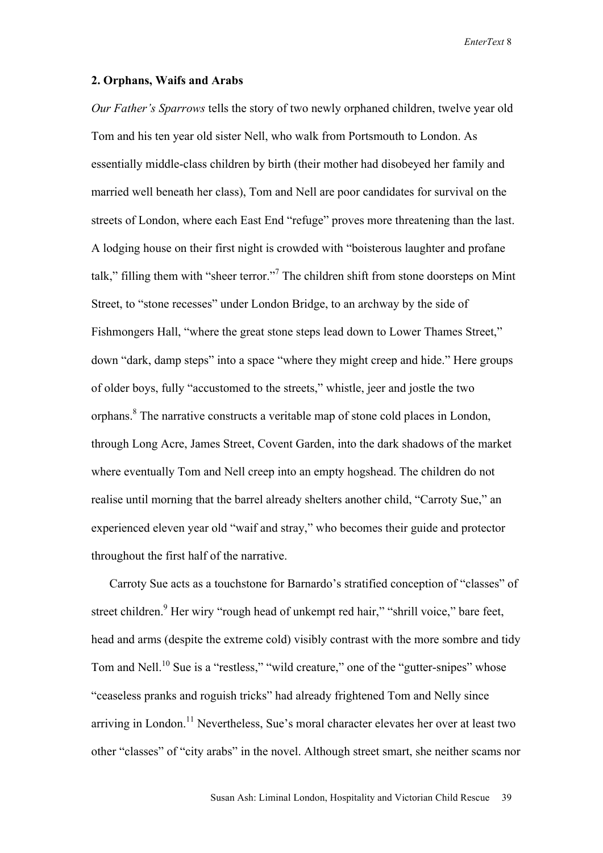#### **2. Orphans, Waifs and Arabs**

*Our Father's Sparrows* tells the story of two newly orphaned children, twelve year old Tom and his ten year old sister Nell, who walk from Portsmouth to London. As essentially middle-class children by birth (their mother had disobeyed her family and married well beneath her class), Tom and Nell are poor candidates for survival on the streets of London, where each East End "refuge" proves more threatening than the last. A lodging house on their first night is crowded with "boisterous laughter and profane talk," filling them with "sheer terror."<sup>7</sup> The children shift from stone doorsteps on Mint Street, to "stone recesses" under London Bridge, to an archway by the side of Fishmongers Hall, "where the great stone steps lead down to Lower Thames Street," down "dark, damp steps" into a space "where they might creep and hide." Here groups of older boys, fully "accustomed to the streets," whistle, jeer and jostle the two orphans.<sup>8</sup> The narrative constructs a veritable map of stone cold places in London, through Long Acre, James Street, Covent Garden, into the dark shadows of the market where eventually Tom and Nell creep into an empty hogshead. The children do not realise until morning that the barrel already shelters another child, "Carroty Sue," an experienced eleven year old "waif and stray," who becomes their guide and protector throughout the first half of the narrative.

Carroty Sue acts as a touchstone for Barnardo's stratified conception of "classes" of street children.<sup>9</sup> Her wiry "rough head of unkempt red hair," "shrill voice," bare feet, head and arms (despite the extreme cold) visibly contrast with the more sombre and tidy Tom and Nell.<sup>10</sup> Sue is a "restless," "wild creature," one of the "gutter-snipes" whose "ceaseless pranks and roguish tricks" had already frightened Tom and Nelly since arriving in London.<sup>11</sup> Nevertheless, Sue's moral character elevates her over at least two other "classes" of "city arabs" in the novel. Although street smart, she neither scams nor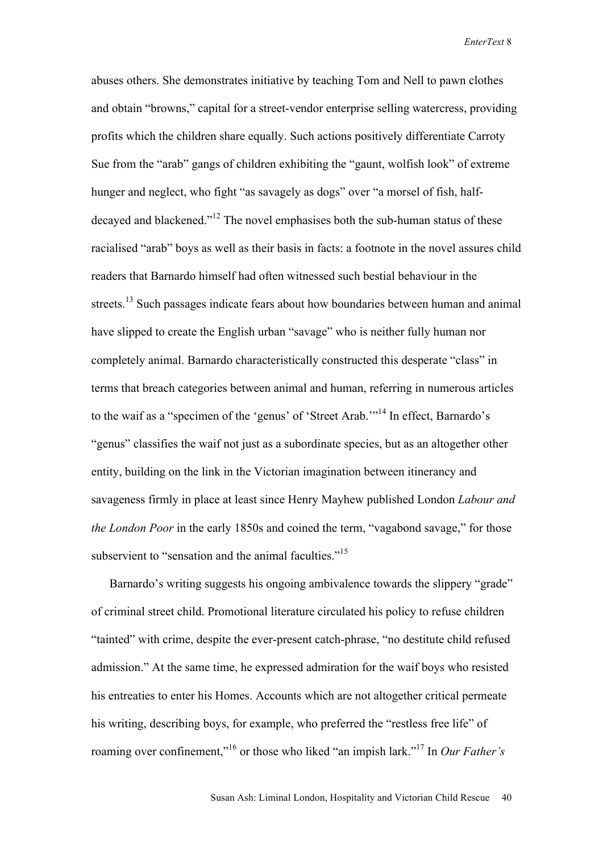abuses others. She demonstrates initiative by teaching Tom and Nell to pawn clothes and obtain "browns," capital for a street-vendor enterprise selling watercress, providing profits which the children share equally. Such actions positively differentiate Carroty Sue from the "arab" gangs of children exhibiting the "gaunt, wolfish look" of extreme hunger and neglect, who fight "as savagely as dogs" over "a morsel of fish, halfdecayed and blackened."12 The novel emphasises both the sub-human status of these racialised "arab" boys as well as their basis in facts: a footnote in the novel assures child readers that Barnardo himself had often witnessed such bestial behaviour in the streets.<sup>13</sup> Such passages indicate fears about how boundaries between human and animal have slipped to create the English urban "savage" who is neither fully human nor completely animal. Barnardo characteristically constructed this desperate "class" in terms that breach categories between animal and human, referring in numerous articles to the waif as a "specimen of the 'genus' of 'Street Arab.'"14 In effect, Barnardo's "genus" classifies the waif not just as a subordinate species, but as an altogether other entity, building on the link in the Victorian imagination between itinerancy and savageness firmly in place at least since Henry Mayhew published London *Labour and the London Poor* in the early 1850s and coined the term, "vagabond savage," for those subservient to "sensation and the animal faculties."<sup>15</sup>

Barnardo's writing suggests his ongoing ambivalence towards the slippery "grade" of criminal street child. Promotional literature circulated his policy to refuse children "tainted" with crime, despite the ever-present catch-phrase, "no destitute child refused admission." At the same time, he expressed admiration for the waif boys who resisted his entreaties to enter his Homes. Accounts which are not altogether critical permeate his writing, describing boys, for example, who preferred the "restless free life" of roaming over confinement,"16 or those who liked "an impish lark."17 In *Our Father's*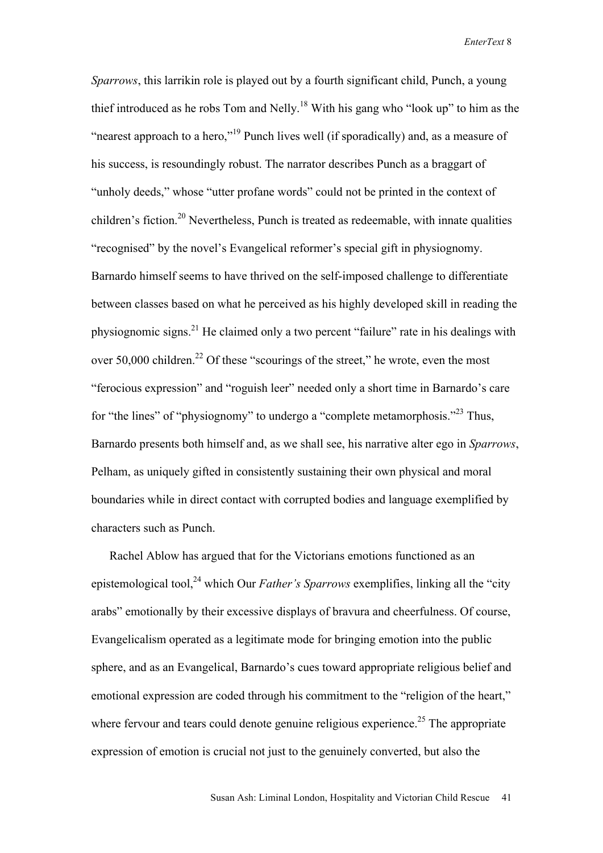*Sparrows*, this larrikin role is played out by a fourth significant child, Punch, a young thief introduced as he robs Tom and Nelly.<sup>18</sup> With his gang who "look up" to him as the "nearest approach to a hero,"19 Punch lives well (if sporadically) and, as a measure of his success, is resoundingly robust. The narrator describes Punch as a braggart of "unholy deeds," whose "utter profane words" could not be printed in the context of children's fiction.<sup>20</sup> Nevertheless, Punch is treated as redeemable, with innate qualities "recognised" by the novel's Evangelical reformer's special gift in physiognomy. Barnardo himself seems to have thrived on the self-imposed challenge to differentiate between classes based on what he perceived as his highly developed skill in reading the physiognomic signs.<sup>21</sup> He claimed only a two percent "failure" rate in his dealings with over 50,000 children.<sup>22</sup> Of these "scourings of the street," he wrote, even the most "ferocious expression" and "roguish leer" needed only a short time in Barnardo's care for "the lines" of "physiognomy" to undergo a "complete metamorphosis."23 Thus, Barnardo presents both himself and, as we shall see, his narrative alter ego in *Sparrows*, Pelham, as uniquely gifted in consistently sustaining their own physical and moral boundaries while in direct contact with corrupted bodies and language exemplified by characters such as Punch.

Rachel Ablow has argued that for the Victorians emotions functioned as an epistemological tool,<sup>24</sup> which Our *Father's Sparrows* exemplifies, linking all the "city" arabs" emotionally by their excessive displays of bravura and cheerfulness. Of course, Evangelicalism operated as a legitimate mode for bringing emotion into the public sphere, and as an Evangelical, Barnardo's cues toward appropriate religious belief and emotional expression are coded through his commitment to the "religion of the heart," where fervour and tears could denote genuine religious experience.<sup>25</sup> The appropriate expression of emotion is crucial not just to the genuinely converted, but also the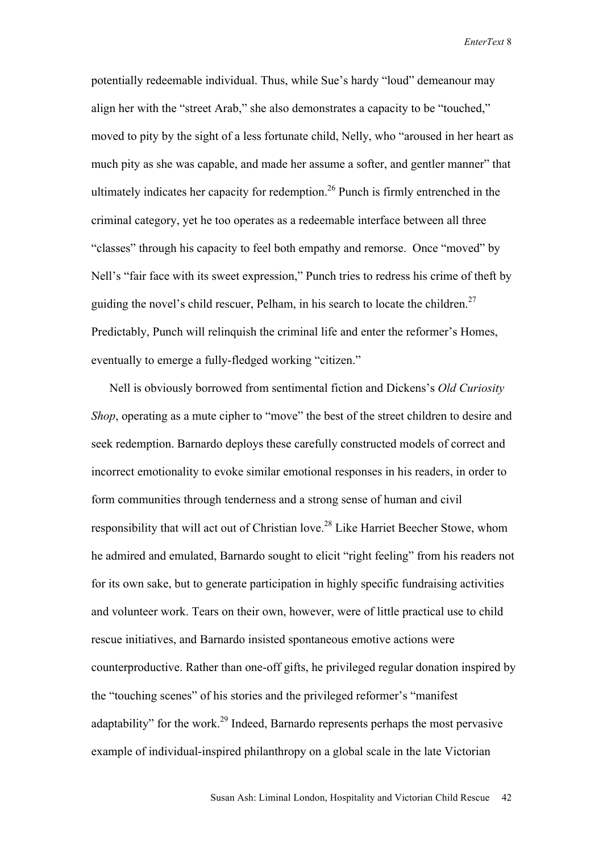potentially redeemable individual. Thus, while Sue's hardy "loud" demeanour may align her with the "street Arab," she also demonstrates a capacity to be "touched," moved to pity by the sight of a less fortunate child, Nelly, who "aroused in her heart as much pity as she was capable, and made her assume a softer, and gentler manner" that ultimately indicates her capacity for redemption.<sup>26</sup> Punch is firmly entrenched in the criminal category, yet he too operates as a redeemable interface between all three "classes" through his capacity to feel both empathy and remorse. Once "moved" by Nell's "fair face with its sweet expression," Punch tries to redress his crime of theft by guiding the novel's child rescuer, Pelham, in his search to locate the children.<sup>27</sup> Predictably, Punch will relinquish the criminal life and enter the reformer's Homes, eventually to emerge a fully-fledged working "citizen."

Nell is obviously borrowed from sentimental fiction and Dickens's *Old Curiosity Shop*, operating as a mute cipher to "move" the best of the street children to desire and seek redemption. Barnardo deploys these carefully constructed models of correct and incorrect emotionality to evoke similar emotional responses in his readers, in order to form communities through tenderness and a strong sense of human and civil responsibility that will act out of Christian love.28 Like Harriet Beecher Stowe, whom he admired and emulated, Barnardo sought to elicit "right feeling" from his readers not for its own sake, but to generate participation in highly specific fundraising activities and volunteer work. Tears on their own, however, were of little practical use to child rescue initiatives, and Barnardo insisted spontaneous emotive actions were counterproductive. Rather than one-off gifts, he privileged regular donation inspired by the "touching scenes" of his stories and the privileged reformer's "manifest adaptability" for the work.<sup>29</sup> Indeed, Barnardo represents perhaps the most pervasive example of individual-inspired philanthropy on a global scale in the late Victorian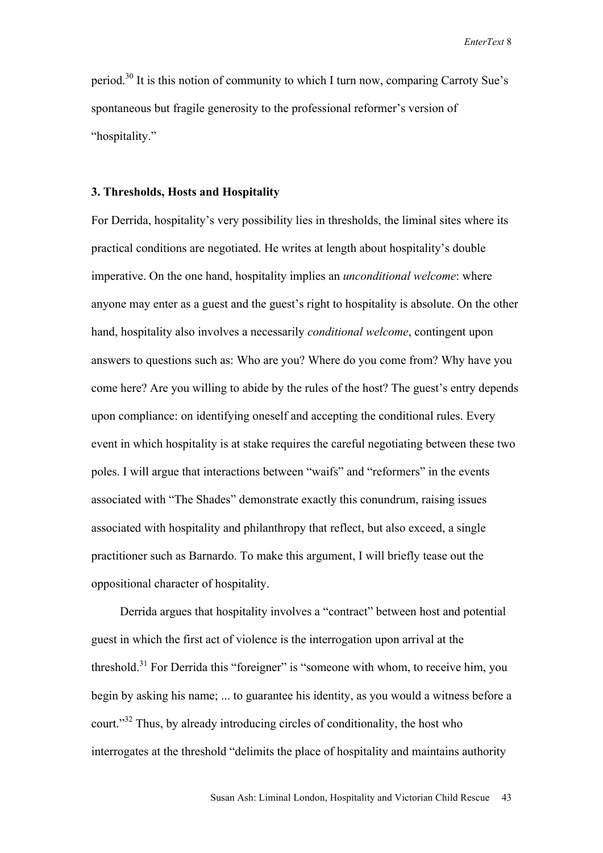period.30 It is this notion of community to which I turn now, comparing Carroty Sue's spontaneous but fragile generosity to the professional reformer's version of "hospitality."

#### **3. Thresholds, Hosts and Hospitality**

For Derrida, hospitality's very possibility lies in thresholds, the liminal sites where its practical conditions are negotiated. He writes at length about hospitality's double imperative. On the one hand, hospitality implies an *unconditional welcome*: where anyone may enter as a guest and the guest's right to hospitality is absolute. On the other hand, hospitality also involves a necessarily *conditional welcome*, contingent upon answers to questions such as: Who are you? Where do you come from? Why have you come here? Are you willing to abide by the rules of the host? The guest's entry depends upon compliance: on identifying oneself and accepting the conditional rules. Every event in which hospitality is at stake requires the careful negotiating between these two poles. I will argue that interactions between "waifs" and "reformers" in the events associated with "The Shades" demonstrate exactly this conundrum, raising issues associated with hospitality and philanthropy that reflect, but also exceed, a single practitioner such as Barnardo. To make this argument, I will briefly tease out the oppositional character of hospitality.

Derrida argues that hospitality involves a "contract" between host and potential guest in which the first act of violence is the interrogation upon arrival at the threshold.<sup>31</sup> For Derrida this "foreigner" is "someone with whom, to receive him, you begin by asking his name; ... to guarantee his identity, as you would a witness before a court."<sup>32</sup> Thus, by already introducing circles of conditionality, the host who interrogates at the threshold "delimits the place of hospitality and maintains authority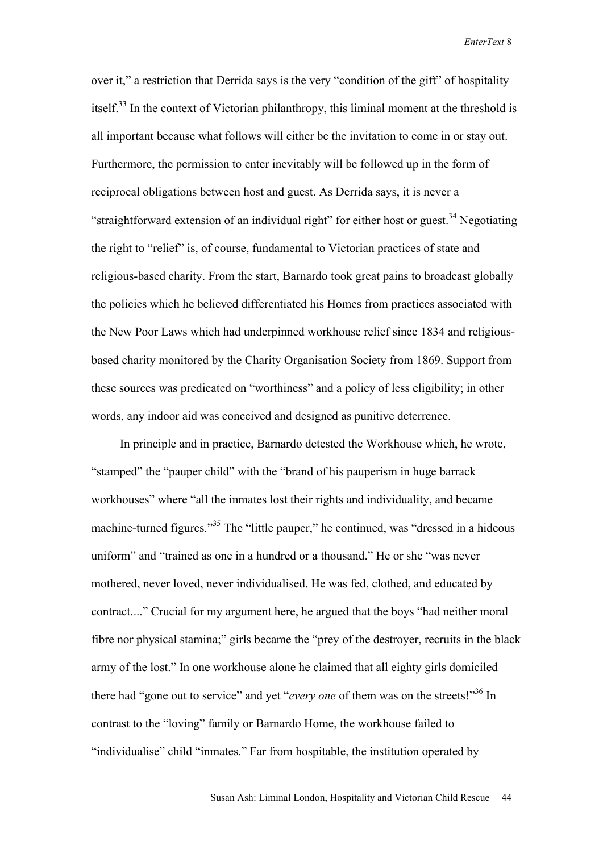over it," a restriction that Derrida says is the very "condition of the gift" of hospitality itself.<sup>33</sup> In the context of Victorian philanthropy, this liminal moment at the threshold is all important because what follows will either be the invitation to come in or stay out. Furthermore, the permission to enter inevitably will be followed up in the form of reciprocal obligations between host and guest. As Derrida says, it is never a "straightforward extension of an individual right" for either host or guest.<sup>34</sup> Negotiating the right to "relief" is, of course, fundamental to Victorian practices of state and religious-based charity. From the start, Barnardo took great pains to broadcast globally the policies which he believed differentiated his Homes from practices associated with the New Poor Laws which had underpinned workhouse relief since 1834 and religiousbased charity monitored by the Charity Organisation Society from 1869. Support from these sources was predicated on "worthiness" and a policy of less eligibility; in other words, any indoor aid was conceived and designed as punitive deterrence.

In principle and in practice, Barnardo detested the Workhouse which, he wrote, "stamped" the "pauper child" with the "brand of his pauperism in huge barrack workhouses" where "all the inmates lost their rights and individuality, and became machine-turned figures."<sup>35</sup> The "little pauper," he continued, was "dressed in a hideous uniform" and "trained as one in a hundred or a thousand." He or she "was never mothered, never loved, never individualised. He was fed, clothed, and educated by contract...." Crucial for my argument here, he argued that the boys "had neither moral fibre nor physical stamina;" girls became the "prey of the destroyer, recruits in the black army of the lost." In one workhouse alone he claimed that all eighty girls domiciled there had "gone out to service" and yet "*every one* of them was on the streets!"36 In contrast to the "loving" family or Barnardo Home, the workhouse failed to "individualise" child "inmates." Far from hospitable, the institution operated by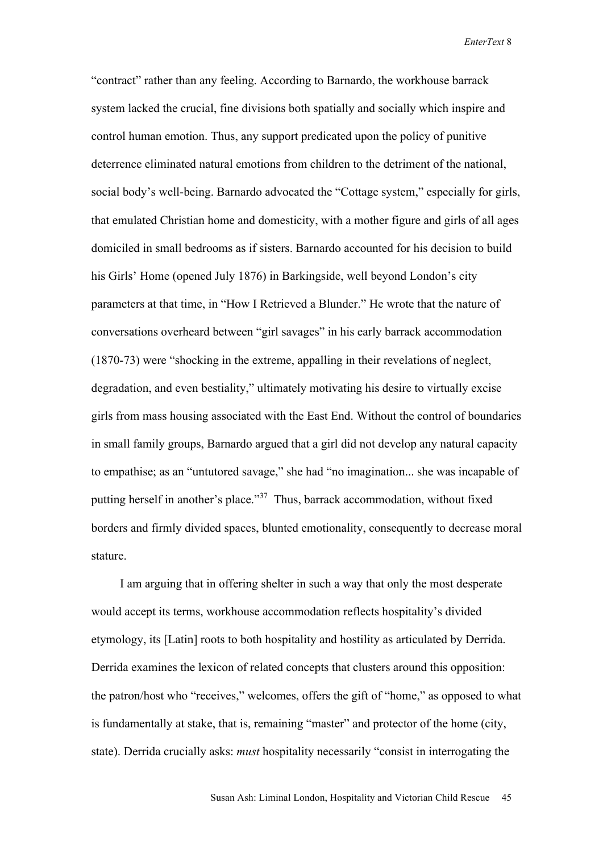"contract" rather than any feeling. According to Barnardo, the workhouse barrack system lacked the crucial, fine divisions both spatially and socially which inspire and control human emotion. Thus, any support predicated upon the policy of punitive deterrence eliminated natural emotions from children to the detriment of the national, social body's well-being. Barnardo advocated the "Cottage system," especially for girls, that emulated Christian home and domesticity, with a mother figure and girls of all ages domiciled in small bedrooms as if sisters. Barnardo accounted for his decision to build his Girls' Home (opened July 1876) in Barkingside, well beyond London's city parameters at that time, in "How I Retrieved a Blunder." He wrote that the nature of conversations overheard between "girl savages" in his early barrack accommodation (1870-73) were "shocking in the extreme, appalling in their revelations of neglect, degradation, and even bestiality," ultimately motivating his desire to virtually excise girls from mass housing associated with the East End. Without the control of boundaries in small family groups, Barnardo argued that a girl did not develop any natural capacity to empathise; as an "untutored savage," she had "no imagination... she was incapable of putting herself in another's place."37 Thus, barrack accommodation, without fixed borders and firmly divided spaces, blunted emotionality, consequently to decrease moral stature.

I am arguing that in offering shelter in such a way that only the most desperate would accept its terms, workhouse accommodation reflects hospitality's divided etymology, its [Latin] roots to both hospitality and hostility as articulated by Derrida. Derrida examines the lexicon of related concepts that clusters around this opposition: the patron/host who "receives," welcomes, offers the gift of "home," as opposed to what is fundamentally at stake, that is, remaining "master" and protector of the home (city, state). Derrida crucially asks: *must* hospitality necessarily "consist in interrogating the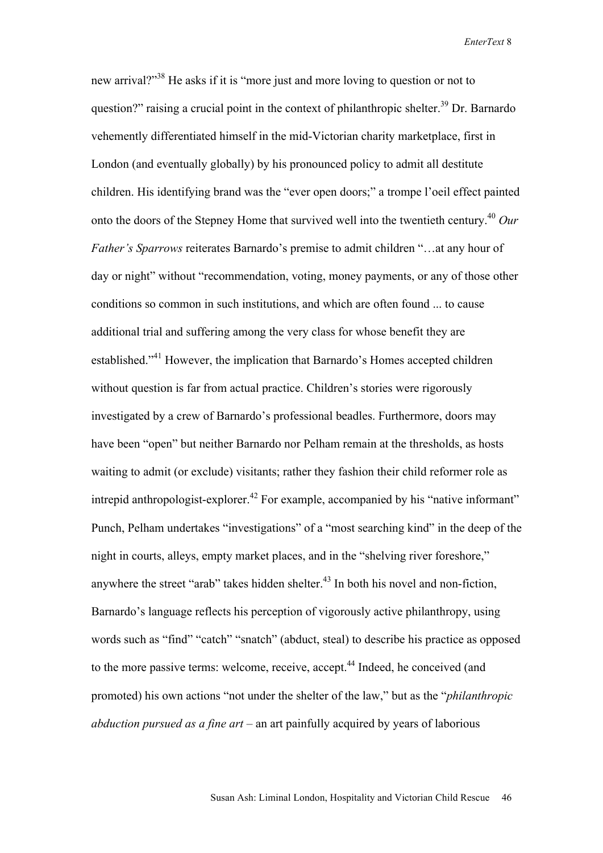new arrival?"<sup>38</sup> He asks if it is "more just and more loving to question or not to question?" raising a crucial point in the context of philanthropic shelter.<sup>39</sup> Dr. Barnardo vehemently differentiated himself in the mid-Victorian charity marketplace, first in London (and eventually globally) by his pronounced policy to admit all destitute children. His identifying brand was the "ever open doors;" a trompe l'oeil effect painted onto the doors of the Stepney Home that survived well into the twentieth century.40 *Our Father's Sparrows* reiterates Barnardo's premise to admit children "…at any hour of day or night" without "recommendation, voting, money payments, or any of those other conditions so common in such institutions, and which are often found ... to cause additional trial and suffering among the very class for whose benefit they are established."41 However, the implication that Barnardo's Homes accepted children without question is far from actual practice. Children's stories were rigorously investigated by a crew of Barnardo's professional beadles. Furthermore, doors may have been "open" but neither Barnardo nor Pelham remain at the thresholds, as hosts waiting to admit (or exclude) visitants; rather they fashion their child reformer role as intrepid anthropologist-explorer.<sup>42</sup> For example, accompanied by his "native informant" Punch, Pelham undertakes "investigations" of a "most searching kind" in the deep of the night in courts, alleys, empty market places, and in the "shelving river foreshore," anywhere the street "arab" takes hidden shelter. $43$  In both his novel and non-fiction, Barnardo's language reflects his perception of vigorously active philanthropy, using words such as "find" "catch" "snatch" (abduct, steal) to describe his practice as opposed to the more passive terms: welcome, receive, accept.<sup>44</sup> Indeed, he conceived (and promoted) his own actions "not under the shelter of the law," but as the "*philanthropic abduction pursued as a fine art –* an art painfully acquired by years of laborious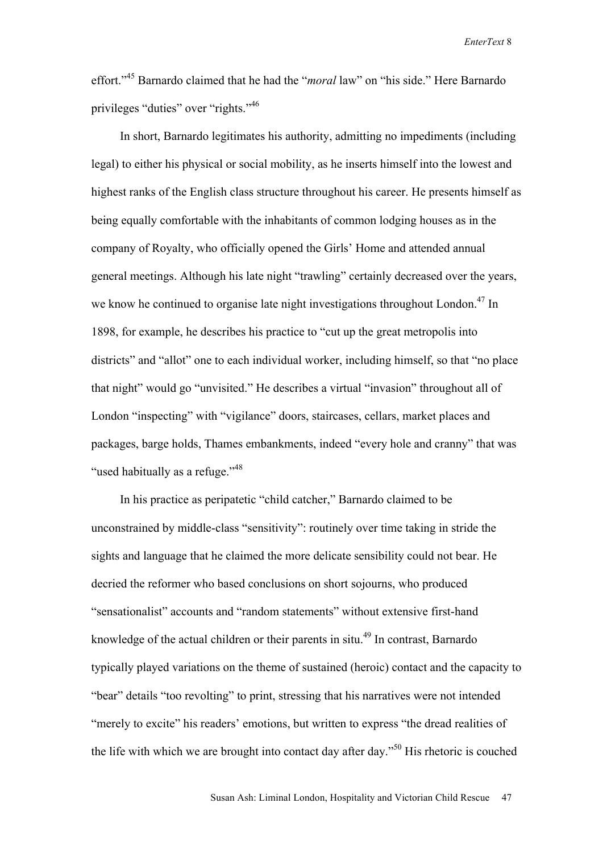effort."45 Barnardo claimed that he had the "*moral* law" on "his side." Here Barnardo privileges "duties" over "rights."46

In short, Barnardo legitimates his authority, admitting no impediments (including legal) to either his physical or social mobility, as he inserts himself into the lowest and highest ranks of the English class structure throughout his career. He presents himself as being equally comfortable with the inhabitants of common lodging houses as in the company of Royalty, who officially opened the Girls' Home and attended annual general meetings. Although his late night "trawling" certainly decreased over the years, we know he continued to organise late night investigations throughout London.<sup>47</sup> In 1898, for example, he describes his practice to "cut up the great metropolis into districts" and "allot" one to each individual worker, including himself, so that "no place that night" would go "unvisited." He describes a virtual "invasion" throughout all of London "inspecting" with "vigilance" doors, staircases, cellars, market places and packages, barge holds, Thames embankments, indeed "every hole and cranny" that was "used habitually as a refuge."<sup>48</sup>

In his practice as peripatetic "child catcher," Barnardo claimed to be unconstrained by middle-class "sensitivity": routinely over time taking in stride the sights and language that he claimed the more delicate sensibility could not bear. He decried the reformer who based conclusions on short sojourns, who produced "sensationalist" accounts and "random statements" without extensive first-hand knowledge of the actual children or their parents in situ.<sup>49</sup> In contrast, Barnardo typically played variations on the theme of sustained (heroic) contact and the capacity to "bear" details "too revolting" to print, stressing that his narratives were not intended "merely to excite" his readers' emotions, but written to express "the dread realities of the life with which we are brought into contact day after day."50 His rhetoric is couched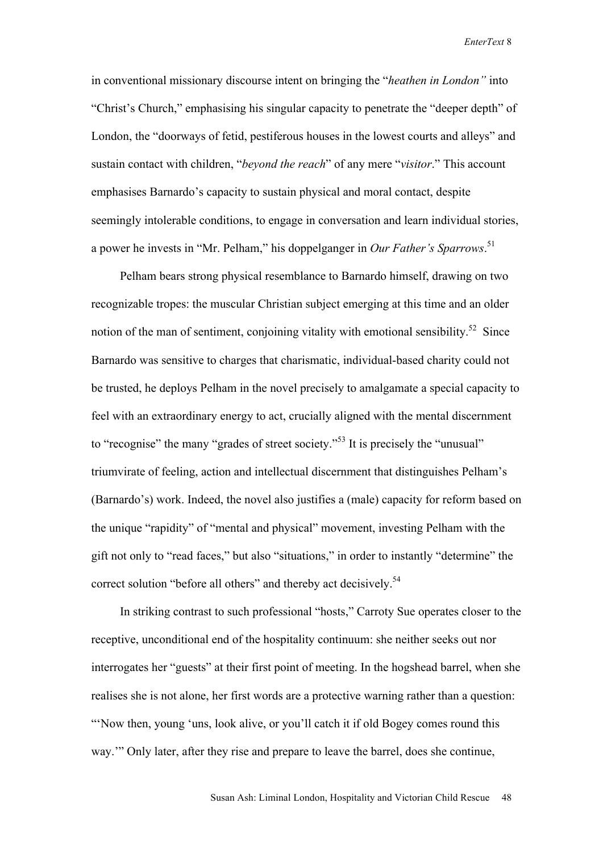in conventional missionary discourse intent on bringing the "*heathen in London"* into "Christ's Church," emphasising his singular capacity to penetrate the "deeper depth" of London, the "doorways of fetid, pestiferous houses in the lowest courts and alleys" and sustain contact with children, "*beyond the reach*" of any mere "*visitor*." This account emphasises Barnardo's capacity to sustain physical and moral contact, despite seemingly intolerable conditions, to engage in conversation and learn individual stories, a power he invests in "Mr. Pelham," his doppelganger in *Our Father's Sparrows*. 51

Pelham bears strong physical resemblance to Barnardo himself, drawing on two recognizable tropes: the muscular Christian subject emerging at this time and an older notion of the man of sentiment, conjoining vitality with emotional sensibility.<sup>52</sup> Since Barnardo was sensitive to charges that charismatic, individual-based charity could not be trusted, he deploys Pelham in the novel precisely to amalgamate a special capacity to feel with an extraordinary energy to act, crucially aligned with the mental discernment to "recognise" the many "grades of street society."<sup>53</sup> It is precisely the "unusual" triumvirate of feeling, action and intellectual discernment that distinguishes Pelham's (Barnardo's) work. Indeed, the novel also justifies a (male) capacity for reform based on the unique "rapidity" of "mental and physical" movement, investing Pelham with the gift not only to "read faces," but also "situations," in order to instantly "determine" the correct solution "before all others" and thereby act decisively.<sup>54</sup>

In striking contrast to such professional "hosts," Carroty Sue operates closer to the receptive, unconditional end of the hospitality continuum: she neither seeks out nor interrogates her "guests" at their first point of meeting. In the hogshead barrel, when she realises she is not alone, her first words are a protective warning rather than a question: "'Now then, young 'uns, look alive, or you'll catch it if old Bogey comes round this way.'" Only later, after they rise and prepare to leave the barrel, does she continue,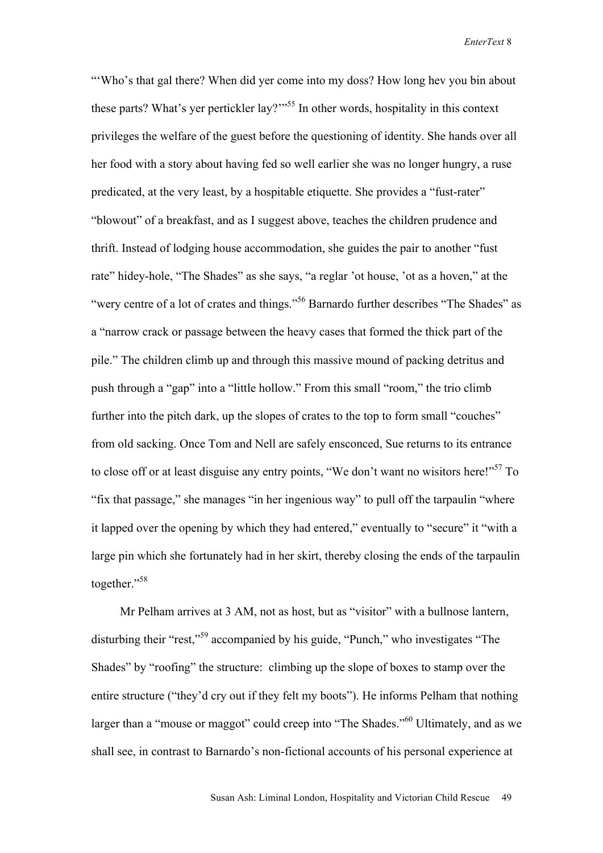"Who's that gal there? When did yer come into my doss? How long hev you bin about these parts? What's yer pertickler lay?"<sup>55</sup> In other words, hospitality in this context privileges the welfare of the guest before the questioning of identity. She hands over all her food with a story about having fed so well earlier she was no longer hungry, a ruse predicated, at the very least, by a hospitable etiquette. She provides a "fust-rater" "blowout" of a breakfast, and as I suggest above, teaches the children prudence and thrift. Instead of lodging house accommodation, she guides the pair to another "fust rate" hidey-hole, "The Shades" as she says, "a reglar 'ot house, 'ot as a hoven," at the "wery centre of a lot of crates and things."56 Barnardo further describes "The Shades" as a "narrow crack or passage between the heavy cases that formed the thick part of the pile." The children climb up and through this massive mound of packing detritus and push through a "gap" into a "little hollow." From this small "room," the trio climb further into the pitch dark, up the slopes of crates to the top to form small "couches" from old sacking. Once Tom and Nell are safely ensconced, Sue returns to its entrance to close off or at least disguise any entry points, "We don't want no wisitors here!"<sup>57</sup> To "fix that passage," she manages "in her ingenious way" to pull off the tarpaulin "where it lapped over the opening by which they had entered," eventually to "secure" it "with a large pin which she fortunately had in her skirt, thereby closing the ends of the tarpaulin together."58

Mr Pelham arrives at 3 AM, not as host, but as "visitor" with a bullnose lantern, disturbing their "rest,"59 accompanied by his guide, "Punch," who investigates "The Shades" by "roofing" the structure: climbing up the slope of boxes to stamp over the entire structure ("they'd cry out if they felt my boots"). He informs Pelham that nothing larger than a "mouse or maggot" could creep into "The Shades."<sup>60</sup> Ultimately, and as we shall see, in contrast to Barnardo's non-fictional accounts of his personal experience at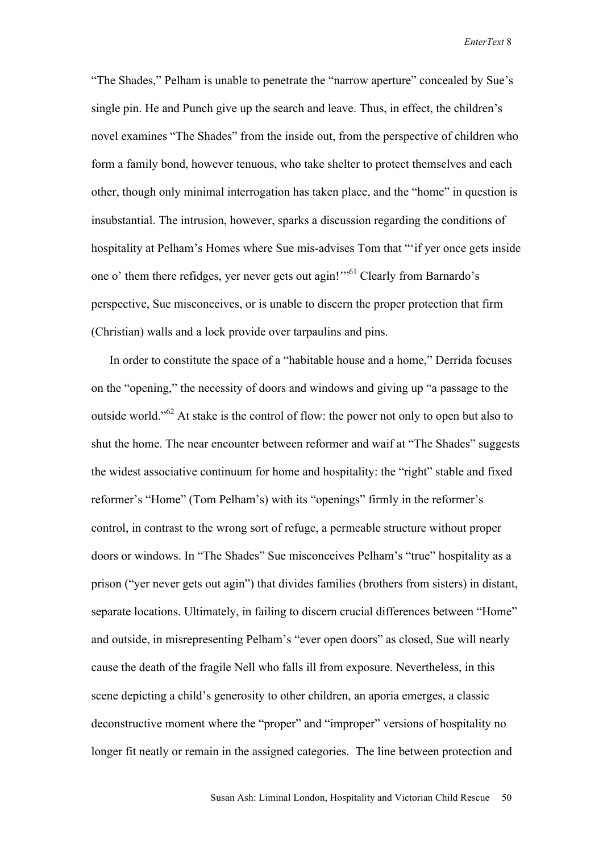"The Shades," Pelham is unable to penetrate the "narrow aperture" concealed by Sue's single pin. He and Punch give up the search and leave. Thus, in effect, the children's novel examines "The Shades" from the inside out, from the perspective of children who form a family bond, however tenuous, who take shelter to protect themselves and each other, though only minimal interrogation has taken place, and the "home" in question is insubstantial. The intrusion, however, sparks a discussion regarding the conditions of hospitality at Pelham's Homes where Sue mis-advises Tom that "'if yer once gets inside one o' them there refidges, yer never gets out agin!'"61 Clearly from Barnardo's perspective, Sue misconceives, or is unable to discern the proper protection that firm (Christian) walls and a lock provide over tarpaulins and pins.

In order to constitute the space of a "habitable house and a home," Derrida focuses on the "opening," the necessity of doors and windows and giving up "a passage to the outside world."<sup>62</sup> At stake is the control of flow: the power not only to open but also to shut the home. The near encounter between reformer and waif at "The Shades" suggests the widest associative continuum for home and hospitality: the "right" stable and fixed reformer's "Home" (Tom Pelham's) with its "openings" firmly in the reformer's control, in contrast to the wrong sort of refuge, a permeable structure without proper doors or windows. In "The Shades" Sue misconceives Pelham's "true" hospitality as a prison ("yer never gets out agin") that divides families (brothers from sisters) in distant, separate locations. Ultimately, in failing to discern crucial differences between "Home" and outside, in misrepresenting Pelham's "ever open doors" as closed, Sue will nearly cause the death of the fragile Nell who falls ill from exposure. Nevertheless, in this scene depicting a child's generosity to other children, an aporia emerges, a classic deconstructive moment where the "proper" and "improper" versions of hospitality no longer fit neatly or remain in the assigned categories. The line between protection and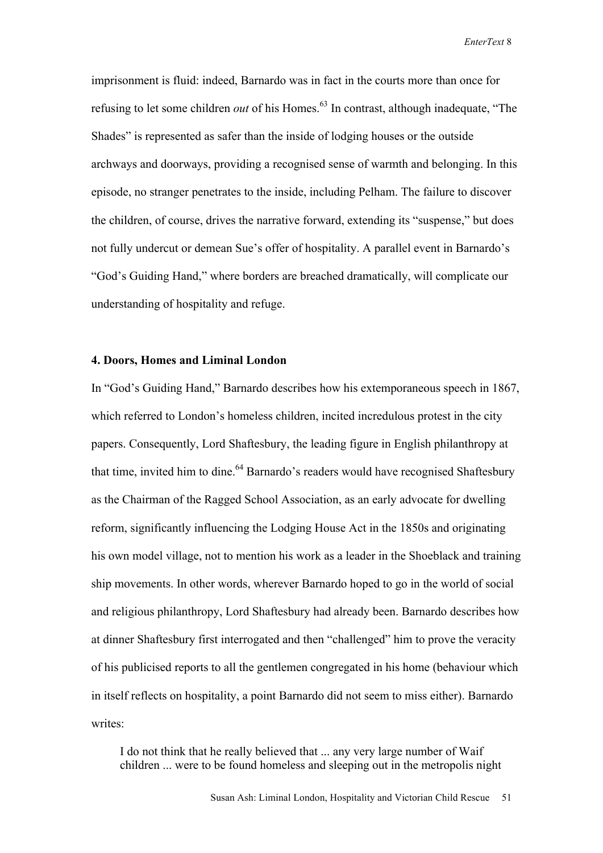imprisonment is fluid: indeed, Barnardo was in fact in the courts more than once for refusing to let some children *out* of his Homes.<sup>63</sup> In contrast, although inadequate, "The Shades" is represented as safer than the inside of lodging houses or the outside archways and doorways, providing a recognised sense of warmth and belonging. In this episode, no stranger penetrates to the inside, including Pelham. The failure to discover the children, of course, drives the narrative forward, extending its "suspense," but does not fully undercut or demean Sue's offer of hospitality. A parallel event in Barnardo's "God's Guiding Hand," where borders are breached dramatically, will complicate our understanding of hospitality and refuge.

### **4. Doors, Homes and Liminal London**

In "God's Guiding Hand," Barnardo describes how his extemporaneous speech in 1867, which referred to London's homeless children, incited incredulous protest in the city papers. Consequently, Lord Shaftesbury, the leading figure in English philanthropy at that time, invited him to dine.  $64$  Barnardo's readers would have recognised Shaftesbury as the Chairman of the Ragged School Association, as an early advocate for dwelling reform, significantly influencing the Lodging House Act in the 1850s and originating his own model village, not to mention his work as a leader in the Shoeblack and training ship movements. In other words, wherever Barnardo hoped to go in the world of social and religious philanthropy, Lord Shaftesbury had already been. Barnardo describes how at dinner Shaftesbury first interrogated and then "challenged" him to prove the veracity of his publicised reports to all the gentlemen congregated in his home (behaviour which in itself reflects on hospitality, a point Barnardo did not seem to miss either). Barnardo writes:

I do not think that he really believed that ... any very large number of Waif children ... were to be found homeless and sleeping out in the metropolis night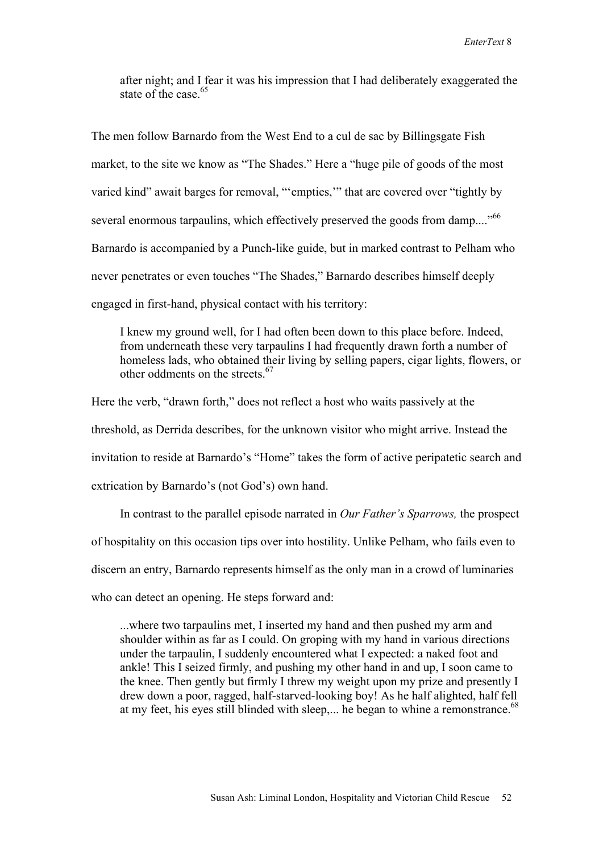after night; and I fear it was his impression that I had deliberately exaggerated the state of the case  $65$ 

The men follow Barnardo from the West End to a cul de sac by Billingsgate Fish market, to the site we know as "The Shades." Here a "huge pile of goods of the most varied kind" await barges for removal, "'empties,'" that are covered over "tightly by several enormous tarpaulins, which effectively preserved the goods from damp...."<sup>66</sup> Barnardo is accompanied by a Punch-like guide, but in marked contrast to Pelham who never penetrates or even touches "The Shades," Barnardo describes himself deeply engaged in first-hand, physical contact with his territory:

I knew my ground well, for I had often been down to this place before. Indeed, from underneath these very tarpaulins I had frequently drawn forth a number of homeless lads, who obtained their living by selling papers, cigar lights, flowers, or other oddments on the streets. 67

Here the verb, "drawn forth," does not reflect a host who waits passively at the threshold, as Derrida describes, for the unknown visitor who might arrive. Instead the invitation to reside at Barnardo's "Home" takes the form of active peripatetic search and extrication by Barnardo's (not God's) own hand.

In contrast to the parallel episode narrated in *Our Father's Sparrows,* the prospect of hospitality on this occasion tips over into hostility. Unlike Pelham, who fails even to discern an entry, Barnardo represents himself as the only man in a crowd of luminaries who can detect an opening. He steps forward and:

...where two tarpaulins met, I inserted my hand and then pushed my arm and shoulder within as far as I could. On groping with my hand in various directions under the tarpaulin, I suddenly encountered what I expected: a naked foot and ankle! This I seized firmly, and pushing my other hand in and up, I soon came to the knee. Then gently but firmly I threw my weight upon my prize and presently I drew down a poor, ragged, half-starved-looking boy! As he half alighted, half fell at my feet, his eyes still blinded with sleep,... he began to whine a remonstrance.<sup>68</sup>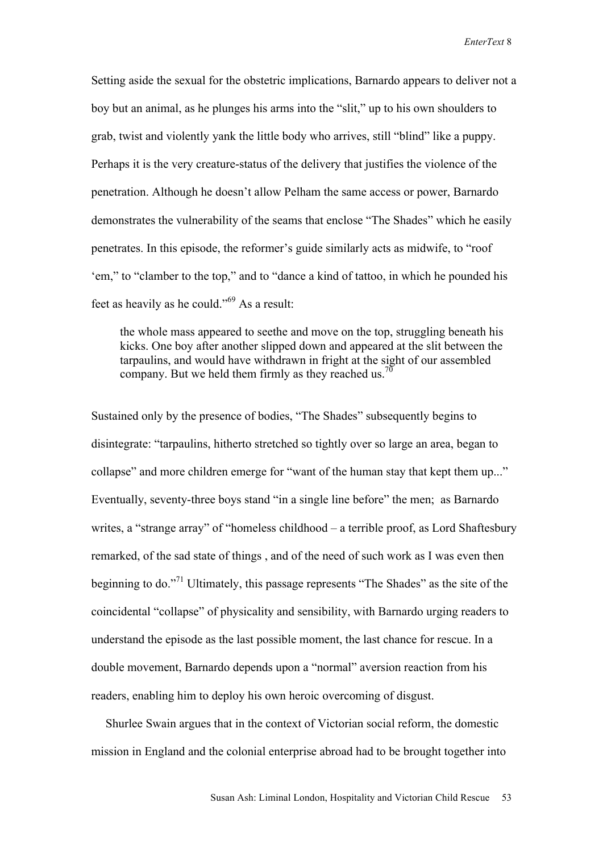Setting aside the sexual for the obstetric implications, Barnardo appears to deliver not a boy but an animal, as he plunges his arms into the "slit," up to his own shoulders to grab, twist and violently yank the little body who arrives, still "blind" like a puppy. Perhaps it is the very creature-status of the delivery that justifies the violence of the penetration. Although he doesn't allow Pelham the same access or power, Barnardo demonstrates the vulnerability of the seams that enclose "The Shades" which he easily penetrates. In this episode, the reformer's guide similarly acts as midwife, to "roof 'em," to "clamber to the top," and to "dance a kind of tattoo, in which he pounded his feet as heavily as he could."69 As a result:

the whole mass appeared to seethe and move on the top, struggling beneath his kicks. One boy after another slipped down and appeared at the slit between the tarpaulins, and would have withdrawn in fright at the sight of our assembled company. But we held them firmly as they reached us.<sup>70</sup>

Sustained only by the presence of bodies, "The Shades" subsequently begins to disintegrate: "tarpaulins, hitherto stretched so tightly over so large an area, began to collapse" and more children emerge for "want of the human stay that kept them up..." Eventually, seventy-three boys stand "in a single line before" the men; as Barnardo writes, a "strange array" of "homeless childhood – a terrible proof, as Lord Shaftesbury remarked, of the sad state of things , and of the need of such work as I was even then beginning to do."71 Ultimately, this passage represents "The Shades" as the site of the coincidental "collapse" of physicality and sensibility, with Barnardo urging readers to understand the episode as the last possible moment, the last chance for rescue. In a double movement, Barnardo depends upon a "normal" aversion reaction from his readers, enabling him to deploy his own heroic overcoming of disgust.

Shurlee Swain argues that in the context of Victorian social reform, the domestic mission in England and the colonial enterprise abroad had to be brought together into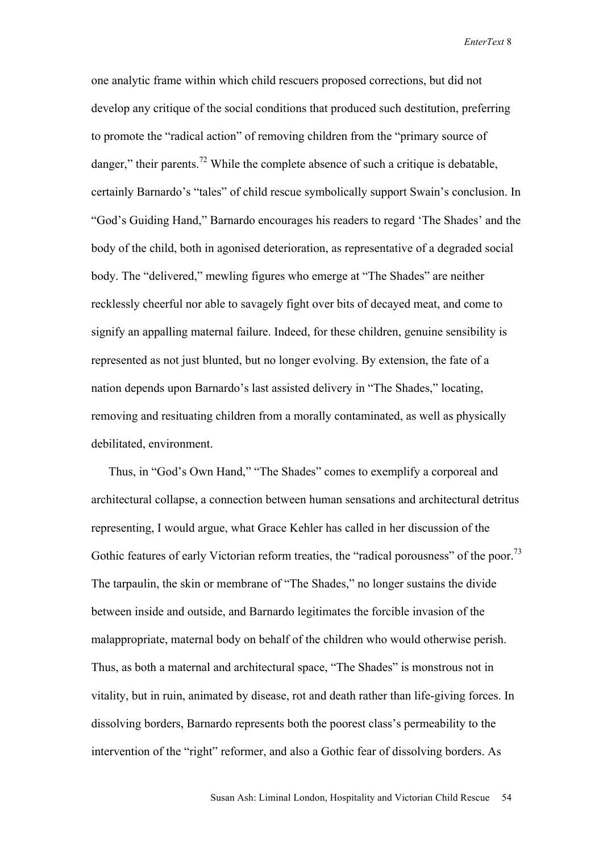one analytic frame within which child rescuers proposed corrections, but did not develop any critique of the social conditions that produced such destitution, preferring to promote the "radical action" of removing children from the "primary source of danger," their parents.<sup>72</sup> While the complete absence of such a critique is debatable, certainly Barnardo's "tales" of child rescue symbolically support Swain's conclusion. In "God's Guiding Hand," Barnardo encourages his readers to regard 'The Shades' and the body of the child, both in agonised deterioration, as representative of a degraded social body. The "delivered," mewling figures who emerge at "The Shades" are neither recklessly cheerful nor able to savagely fight over bits of decayed meat, and come to signify an appalling maternal failure. Indeed, for these children, genuine sensibility is represented as not just blunted, but no longer evolving. By extension, the fate of a nation depends upon Barnardo's last assisted delivery in "The Shades," locating, removing and resituating children from a morally contaminated, as well as physically debilitated, environment.

 Thus, in "God's Own Hand," "The Shades" comes to exemplify a corporeal and architectural collapse, a connection between human sensations and architectural detritus representing, I would argue, what Grace Kehler has called in her discussion of the Gothic features of early Victorian reform treaties, the "radical porousness" of the poor.<sup>73</sup> The tarpaulin, the skin or membrane of "The Shades," no longer sustains the divide between inside and outside, and Barnardo legitimates the forcible invasion of the malappropriate, maternal body on behalf of the children who would otherwise perish. Thus, as both a maternal and architectural space, "The Shades" is monstrous not in vitality, but in ruin, animated by disease, rot and death rather than life-giving forces. In dissolving borders, Barnardo represents both the poorest class's permeability to the intervention of the "right" reformer, and also a Gothic fear of dissolving borders. As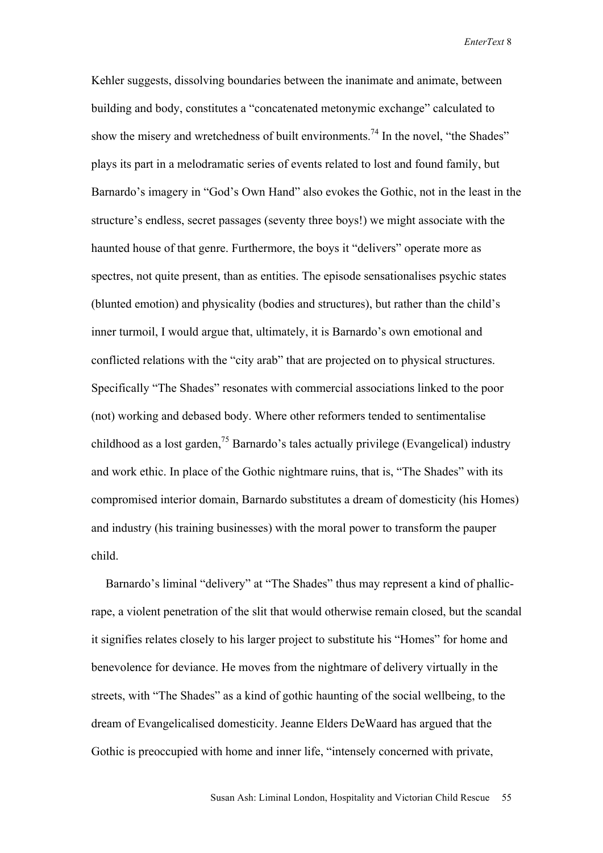Kehler suggests, dissolving boundaries between the inanimate and animate, between building and body, constitutes a "concatenated metonymic exchange" calculated to show the misery and wretchedness of built environments.<sup>74</sup> In the novel, "the Shades" plays its part in a melodramatic series of events related to lost and found family, but Barnardo's imagery in "God's Own Hand" also evokes the Gothic, not in the least in the structure's endless, secret passages (seventy three boys!) we might associate with the haunted house of that genre. Furthermore, the boys it "delivers" operate more as spectres, not quite present, than as entities. The episode sensationalises psychic states (blunted emotion) and physicality (bodies and structures), but rather than the child's inner turmoil, I would argue that, ultimately, it is Barnardo's own emotional and conflicted relations with the "city arab" that are projected on to physical structures. Specifically "The Shades" resonates with commercial associations linked to the poor (not) working and debased body. Where other reformers tended to sentimentalise childhood as a lost garden,<sup>75</sup> Barnardo's tales actually privilege (Evangelical) industry and work ethic. In place of the Gothic nightmare ruins, that is, "The Shades" with its compromised interior domain, Barnardo substitutes a dream of domesticity (his Homes) and industry (his training businesses) with the moral power to transform the pauper child.

Barnardo's liminal "delivery" at "The Shades" thus may represent a kind of phallicrape, a violent penetration of the slit that would otherwise remain closed, but the scandal it signifies relates closely to his larger project to substitute his "Homes" for home and benevolence for deviance. He moves from the nightmare of delivery virtually in the streets, with "The Shades" as a kind of gothic haunting of the social wellbeing, to the dream of Evangelicalised domesticity. Jeanne Elders DeWaard has argued that the Gothic is preoccupied with home and inner life, "intensely concerned with private,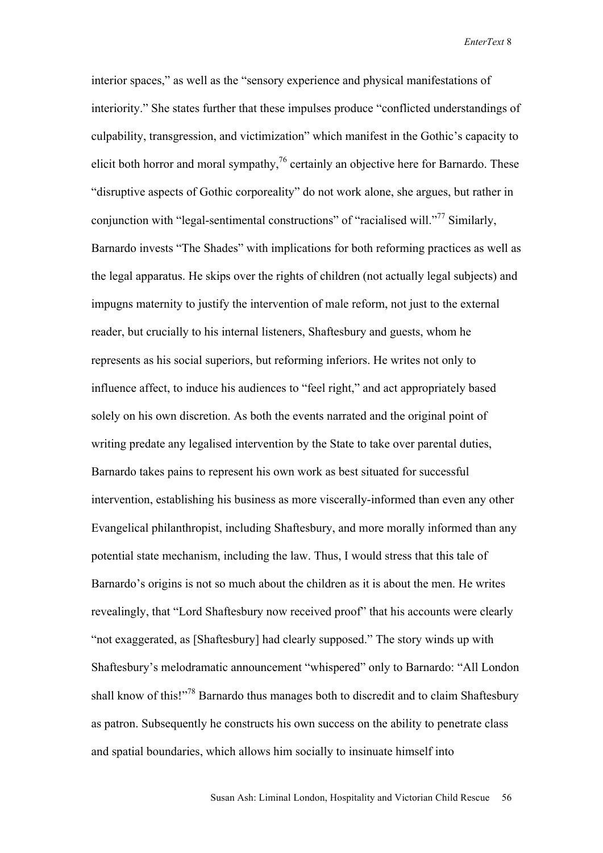interior spaces," as well as the "sensory experience and physical manifestations of interiority." She states further that these impulses produce "conflicted understandings of culpability, transgression, and victimization" which manifest in the Gothic's capacity to elicit both horror and moral sympathy, $\frac{76}{6}$  certainly an objective here for Barnardo. These "disruptive aspects of Gothic corporeality" do not work alone, she argues, but rather in conjunction with "legal-sentimental constructions" of "racialised will."<sup>77</sup> Similarly, Barnardo invests "The Shades" with implications for both reforming practices as well as the legal apparatus. He skips over the rights of children (not actually legal subjects) and impugns maternity to justify the intervention of male reform, not just to the external reader, but crucially to his internal listeners, Shaftesbury and guests, whom he represents as his social superiors, but reforming inferiors. He writes not only to influence affect, to induce his audiences to "feel right," and act appropriately based solely on his own discretion. As both the events narrated and the original point of writing predate any legalised intervention by the State to take over parental duties, Barnardo takes pains to represent his own work as best situated for successful intervention, establishing his business as more viscerally-informed than even any other Evangelical philanthropist, including Shaftesbury, and more morally informed than any potential state mechanism, including the law. Thus, I would stress that this tale of Barnardo's origins is not so much about the children as it is about the men. He writes revealingly, that "Lord Shaftesbury now received proof" that his accounts were clearly "not exaggerated, as [Shaftesbury] had clearly supposed." The story winds up with Shaftesbury's melodramatic announcement "whispered" only to Barnardo: "All London shall know of this!"<sup>78</sup> Barnardo thus manages both to discredit and to claim Shaftesbury as patron. Subsequently he constructs his own success on the ability to penetrate class and spatial boundaries, which allows him socially to insinuate himself into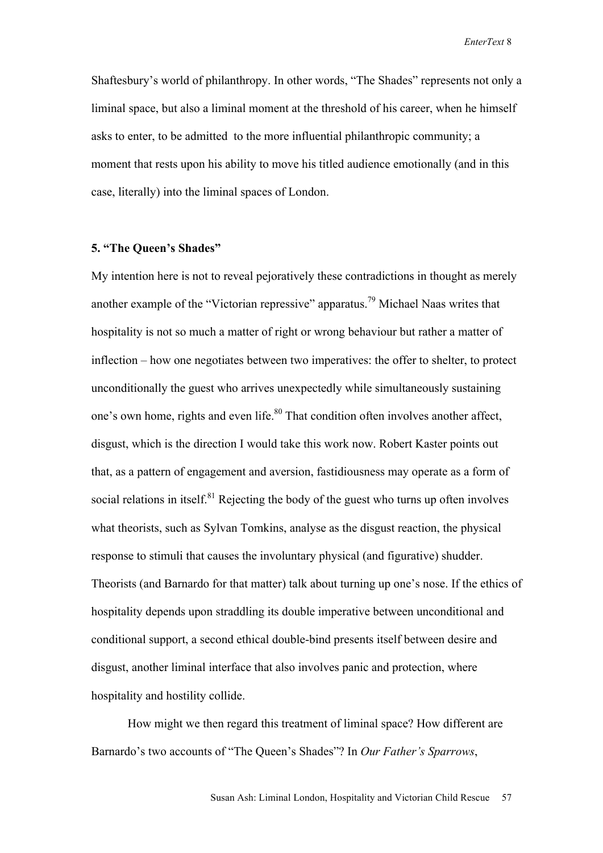Shaftesbury's world of philanthropy. In other words, "The Shades" represents not only a liminal space, but also a liminal moment at the threshold of his career, when he himself asks to enter, to be admitted to the more influential philanthropic community; a moment that rests upon his ability to move his titled audience emotionally (and in this case, literally) into the liminal spaces of London.

#### **5. "The Queen's Shades"**

My intention here is not to reveal pejoratively these contradictions in thought as merely another example of the "Victorian repressive" apparatus.79 Michael Naas writes that hospitality is not so much a matter of right or wrong behaviour but rather a matter of inflection – how one negotiates between two imperatives: the offer to shelter, to protect unconditionally the guest who arrives unexpectedly while simultaneously sustaining one's own home, rights and even life.<sup>80</sup> That condition often involves another affect, disgust, which is the direction I would take this work now. Robert Kaster points out that, as a pattern of engagement and aversion, fastidiousness may operate as a form of social relations in itself. $81$  Rejecting the body of the guest who turns up often involves what theorists, such as Sylvan Tomkins, analyse as the disgust reaction, the physical response to stimuli that causes the involuntary physical (and figurative) shudder. Theorists (and Barnardo for that matter) talk about turning up one's nose. If the ethics of hospitality depends upon straddling its double imperative between unconditional and conditional support, a second ethical double-bind presents itself between desire and disgust, another liminal interface that also involves panic and protection, where hospitality and hostility collide.

How might we then regard this treatment of liminal space? How different are Barnardo's two accounts of "The Queen's Shades"? In *Our Father's Sparrows*,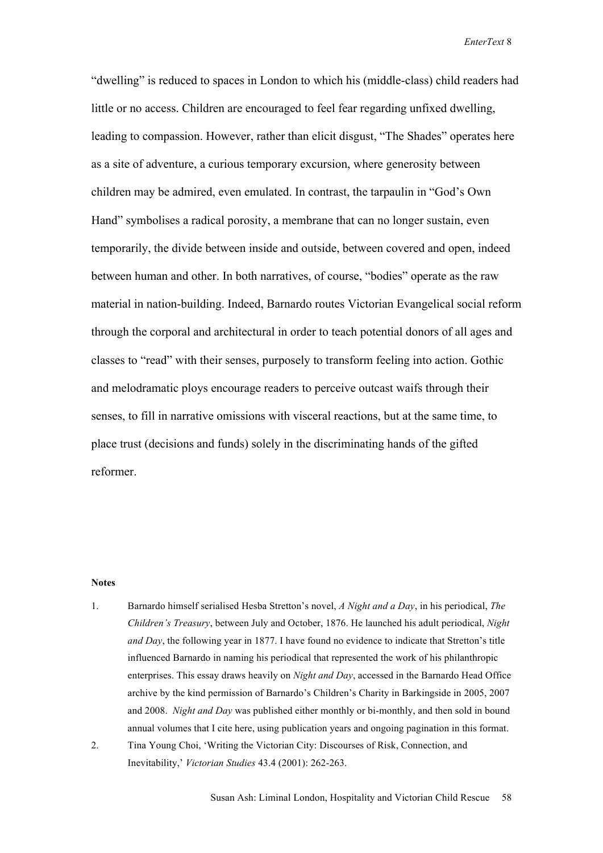"dwelling" is reduced to spaces in London to which his (middle-class) child readers had little or no access. Children are encouraged to feel fear regarding unfixed dwelling, leading to compassion. However, rather than elicit disgust, "The Shades" operates here as a site of adventure, a curious temporary excursion, where generosity between children may be admired, even emulated. In contrast, the tarpaulin in "God's Own Hand" symbolises a radical porosity, a membrane that can no longer sustain, even temporarily, the divide between inside and outside, between covered and open, indeed between human and other. In both narratives, of course, "bodies" operate as the raw material in nation-building. Indeed, Barnardo routes Victorian Evangelical social reform through the corporal and architectural in order to teach potential donors of all ages and classes to "read" with their senses, purposely to transform feeling into action. Gothic and melodramatic ploys encourage readers to perceive outcast waifs through their senses, to fill in narrative omissions with visceral reactions, but at the same time, to place trust (decisions and funds) solely in the discriminating hands of the gifted reformer.

#### **Notes**

- 1. Barnardo himself serialised Hesba Stretton's novel, *A Night and a Day*, in his periodical, *The Children's Treasury*, between July and October, 1876. He launched his adult periodical, *Night and Day*, the following year in 1877. I have found no evidence to indicate that Stretton's title influenced Barnardo in naming his periodical that represented the work of his philanthropic enterprises. This essay draws heavily on *Night and Day*, accessed in the Barnardo Head Office archive by the kind permission of Barnardo's Children's Charity in Barkingside in 2005, 2007 and 2008. *Night and Day* was published either monthly or bi-monthly, and then sold in bound annual volumes that I cite here, using publication years and ongoing pagination in this format.
- 2. Tina Young Choi, 'Writing the Victorian City: Discourses of Risk, Connection, and Inevitability,' *Victorian Studies* 43.4 (2001): 262-263.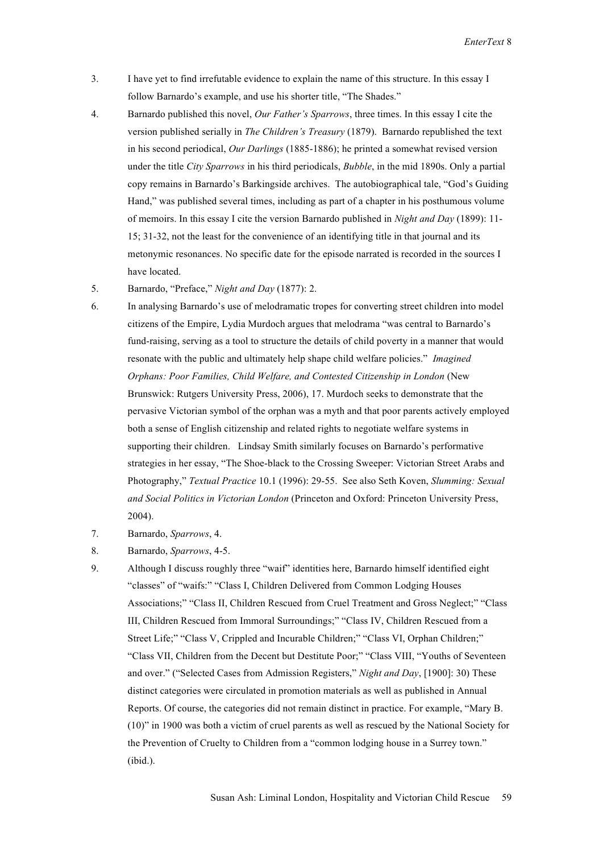- 3. I have yet to find irrefutable evidence to explain the name of this structure. In this essay I follow Barnardo's example, and use his shorter title, "The Shades."
- 4. Barnardo published this novel, *Our Father's Sparrows*, three times. In this essay I cite the version published serially in *The Children's Treasury* (1879). Barnardo republished the text in his second periodical, *Our Darlings* (1885-1886); he printed a somewhat revised version under the title *City Sparrows* in his third periodicals, *Bubble*, in the mid 1890s. Only a partial copy remains in Barnardo's Barkingside archives. The autobiographical tale, "God's Guiding Hand," was published several times, including as part of a chapter in his posthumous volume of memoirs. In this essay I cite the version Barnardo published in *Night and Day* (1899): 11- 15; 31-32, not the least for the convenience of an identifying title in that journal and its metonymic resonances. No specific date for the episode narrated is recorded in the sources I have located.
- 5. Barnardo, "Preface," *Night and Day* (1877): 2.
- 6. In analysing Barnardo's use of melodramatic tropes for converting street children into model citizens of the Empire, Lydia Murdoch argues that melodrama "was central to Barnardo's fund-raising, serving as a tool to structure the details of child poverty in a manner that would resonate with the public and ultimately help shape child welfare policies." *Imagined Orphans: Poor Families, Child Welfare, and Contested Citizenship in London* (New Brunswick: Rutgers University Press, 2006), 17. Murdoch seeks to demonstrate that the pervasive Victorian symbol of the orphan was a myth and that poor parents actively employed both a sense of English citizenship and related rights to negotiate welfare systems in supporting their children. Lindsay Smith similarly focuses on Barnardo's performative strategies in her essay, "The Shoe-black to the Crossing Sweeper: Victorian Street Arabs and Photography," *Textual Practice* 10.1 (1996): 29-55. See also Seth Koven, *Slumming: Sexual and Social Politics in Victorian London* (Princeton and Oxford: Princeton University Press, 2004).
- 7. Barnardo, *Sparrows*, 4.
- 8. Barnardo, *Sparrows*, 4-5.
- 9. Although I discuss roughly three "waif" identities here, Barnardo himself identified eight "classes" of "waifs:" "Class I, Children Delivered from Common Lodging Houses Associations;" "Class II, Children Rescued from Cruel Treatment and Gross Neglect;" "Class III, Children Rescued from Immoral Surroundings;" "Class IV, Children Rescued from a Street Life;" "Class V, Crippled and Incurable Children;" "Class VI, Orphan Children;" "Class VII, Children from the Decent but Destitute Poor;" "Class VIII, "Youths of Seventeen and over." ("Selected Cases from Admission Registers," *Night and Day*, [1900]: 30) These distinct categories were circulated in promotion materials as well as published in Annual Reports. Of course, the categories did not remain distinct in practice. For example, "Mary B. (10)" in 1900 was both a victim of cruel parents as well as rescued by the National Society for the Prevention of Cruelty to Children from a "common lodging house in a Surrey town." (ibid.).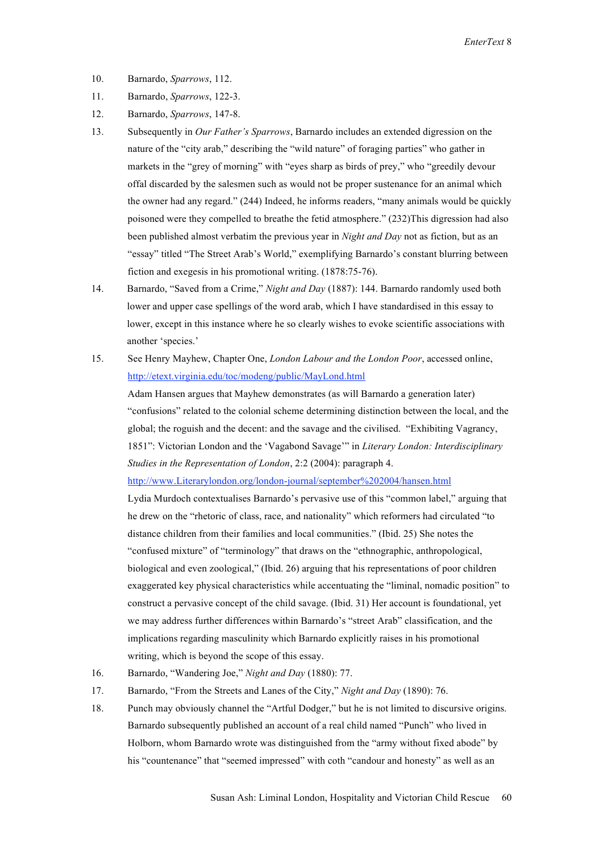- 10. Barnardo, *Sparrows*, 112.
- 11. Barnardo, *Sparrows*, 122-3.
- 12. Barnardo, *Sparrows*, 147-8.
- 13. Subsequently in *Our Father's Sparrows*, Barnardo includes an extended digression on the nature of the "city arab," describing the "wild nature" of foraging parties" who gather in markets in the "grey of morning" with "eyes sharp as birds of prey," who "greedily devour offal discarded by the salesmen such as would not be proper sustenance for an animal which the owner had any regard." (244) Indeed, he informs readers, "many animals would be quickly poisoned were they compelled to breathe the fetid atmosphere." (232)This digression had also been published almost verbatim the previous year in *Night and Day* not as fiction, but as an "essay" titled "The Street Arab's World," exemplifying Barnardo's constant blurring between fiction and exegesis in his promotional writing. (1878:75-76).
- 14. Barnardo, "Saved from a Crime," *Night and Day* (1887): 144. Barnardo randomly used both lower and upper case spellings of the word arab, which I have standardised in this essay to lower, except in this instance where he so clearly wishes to evoke scientific associations with another 'species.'
- 15. See Henry Mayhew, Chapter One, *London Labour and the London Poor*, accessed online, http://etext.virginia.edu/toc/modeng/public/MayLond.html

Adam Hansen argues that Mayhew demonstrates (as will Barnardo a generation later) "confusions" related to the colonial scheme determining distinction between the local, and the global; the roguish and the decent: and the savage and the civilised. "Exhibiting Vagrancy, 1851": Victorian London and the 'Vagabond Savage'" in *Literary London: Interdisciplinary Studies in the Representation of London*, 2:2 (2004): paragraph 4.

http://www.Literarylondon.org/london-journal/september%202004/hansen.html

 Lydia Murdoch contextualises Barnardo's pervasive use of this "common label," arguing that he drew on the "rhetoric of class, race, and nationality" which reformers had circulated "to distance children from their families and local communities." (Ibid. 25) She notes the "confused mixture" of "terminology" that draws on the "ethnographic, anthropological, biological and even zoological," (Ibid. 26) arguing that his representations of poor children exaggerated key physical characteristics while accentuating the "liminal, nomadic position" to construct a pervasive concept of the child savage. (Ibid. 31) Her account is foundational, yet we may address further differences within Barnardo's "street Arab" classification, and the implications regarding masculinity which Barnardo explicitly raises in his promotional writing, which is beyond the scope of this essay.

- 16. Barnardo, "Wandering Joe," *Night and Day* (1880): 77.
- 17. Barnardo, "From the Streets and Lanes of the City," *Night and Day* (1890): 76.
- 18. Punch may obviously channel the "Artful Dodger," but he is not limited to discursive origins. Barnardo subsequently published an account of a real child named "Punch" who lived in Holborn, whom Barnardo wrote was distinguished from the "army without fixed abode" by his "countenance" that "seemed impressed" with coth "candour and honesty" as well as an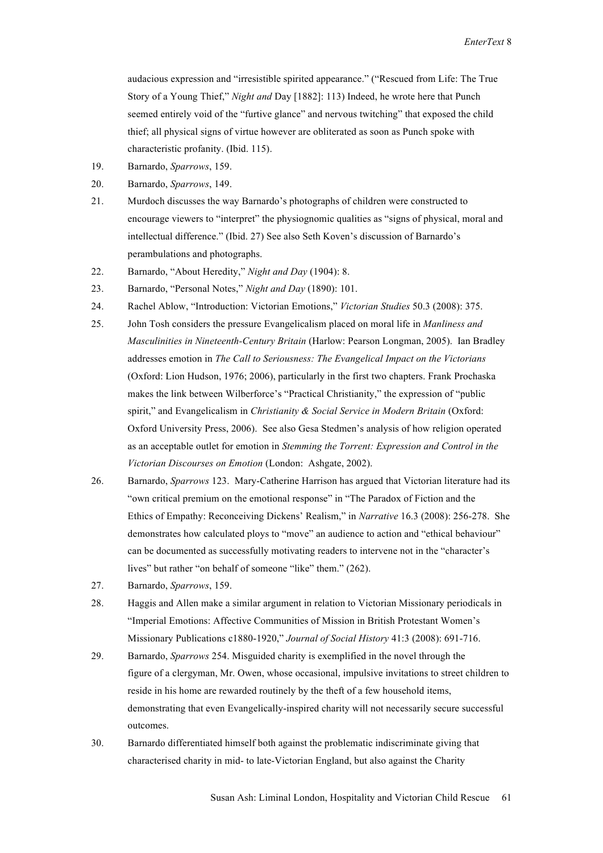audacious expression and "irresistible spirited appearance." ("Rescued from Life: The True Story of a Young Thief," *Night and* Day [1882]: 113) Indeed, he wrote here that Punch seemed entirely void of the "furtive glance" and nervous twitching" that exposed the child thief; all physical signs of virtue however are obliterated as soon as Punch spoke with characteristic profanity. (Ibid. 115).

- 19. Barnardo, *Sparrows*, 159.
- 20. Barnardo, *Sparrows*, 149.
- 21. Murdoch discusses the way Barnardo's photographs of children were constructed to encourage viewers to "interpret" the physiognomic qualities as "signs of physical, moral and intellectual difference." (Ibid. 27) See also Seth Koven's discussion of Barnardo's perambulations and photographs.
- 22. Barnardo, "About Heredity," *Night and Day* (1904): 8.
- 23. Barnardo, "Personal Notes," *Night and Day* (1890): 101.
- 24. Rachel Ablow, "Introduction: Victorian Emotions," *Victorian Studies* 50.3 (2008): 375.
- 25. John Tosh considers the pressure Evangelicalism placed on moral life in *Manliness and Masculinities in Nineteenth-Century Britain* (Harlow: Pearson Longman, 2005). Ian Bradley addresses emotion in *The Call to Seriousness: The Evangelical Impact on the Victorians*  (Oxford: Lion Hudson, 1976; 2006), particularly in the first two chapters. Frank Prochaska makes the link between Wilberforce's "Practical Christianity," the expression of "public spirit," and Evangelicalism in *Christianity & Social Service in Modern Britain* (Oxford: Oxford University Press, 2006). See also Gesa Stedmen's analysis of how religion operated as an acceptable outlet for emotion in *Stemming the Torrent: Expression and Control in the Victorian Discourses on Emotion* (London: Ashgate, 2002).
- 26. Barnardo, *Sparrows* 123. Mary-Catherine Harrison has argued that Victorian literature had its "own critical premium on the emotional response" in "The Paradox of Fiction and the Ethics of Empathy: Reconceiving Dickens' Realism," in *Narrative* 16.3 (2008): 256-278. She demonstrates how calculated ploys to "move" an audience to action and "ethical behaviour" can be documented as successfully motivating readers to intervene not in the "character's lives" but rather "on behalf of someone "like" them." (262).
- 27. Barnardo, *Sparrows*, 159.
- 28. Haggis and Allen make a similar argument in relation to Victorian Missionary periodicals in "Imperial Emotions: Affective Communities of Mission in British Protestant Women's Missionary Publications c1880-1920," *Journal of Social History* 41:3 (2008): 691-716.
- 29. Barnardo, *Sparrows* 254. Misguided charity is exemplified in the novel through the figure of a clergyman, Mr. Owen, whose occasional, impulsive invitations to street children to reside in his home are rewarded routinely by the theft of a few household items, demonstrating that even Evangelically-inspired charity will not necessarily secure successful outcomes.
- 30. Barnardo differentiated himself both against the problematic indiscriminate giving that characterised charity in mid- to late-Victorian England, but also against the Charity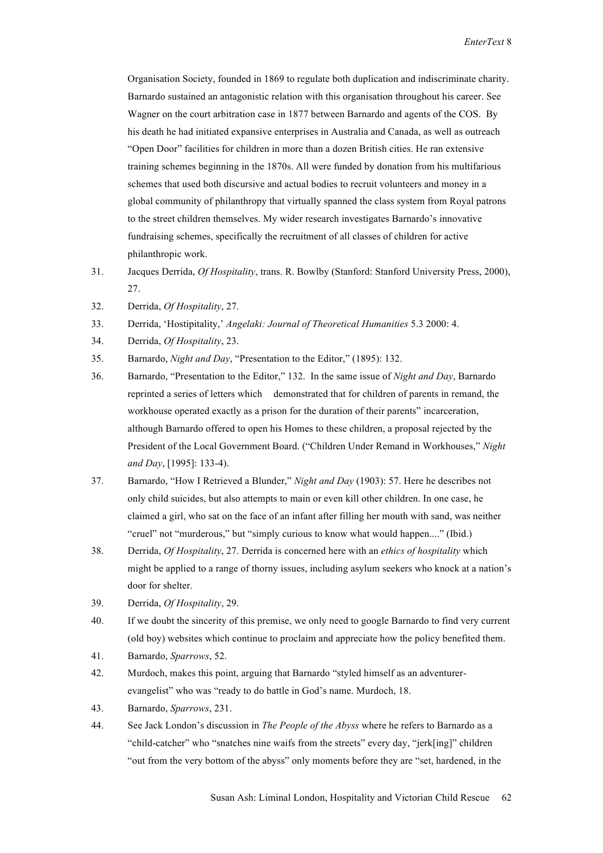Organisation Society, founded in 1869 to regulate both duplication and indiscriminate charity. Barnardo sustained an antagonistic relation with this organisation throughout his career. See Wagner on the court arbitration case in 1877 between Barnardo and agents of the COS. By his death he had initiated expansive enterprises in Australia and Canada, as well as outreach "Open Door" facilities for children in more than a dozen British cities. He ran extensive training schemes beginning in the 1870s. All were funded by donation from his multifarious schemes that used both discursive and actual bodies to recruit volunteers and money in a global community of philanthropy that virtually spanned the class system from Royal patrons to the street children themselves. My wider research investigates Barnardo's innovative fundraising schemes, specifically the recruitment of all classes of children for active philanthropic work.

- 31. Jacques Derrida, *Of Hospitality*, trans. R. Bowlby (Stanford: Stanford University Press, 2000), 27.
- 32. Derrida, *Of Hospitality*, 27.
- 33. Derrida, 'Hostipitality,' *Angelaki: Journal of Theoretical Humanities* 5.3 2000: 4.
- 34. Derrida, *Of Hospitality*, 23.
- 35. Barnardo, *Night and Day*, "Presentation to the Editor," (1895): 132.
- 36. Barnardo, "Presentation to the Editor," 132. In the same issue of *Night and Day*, Barnardo reprinted a series of letters which demonstrated that for children of parents in remand, the workhouse operated exactly as a prison for the duration of their parents" incarceration, although Barnardo offered to open his Homes to these children, a proposal rejected by the President of the Local Government Board. ("Children Under Remand in Workhouses," *Night and Day*, [1995]: 133-4).
- 37. Barnardo, "How I Retrieved a Blunder," *Night and Day* (1903): 57. Here he describes not only child suicides, but also attempts to main or even kill other children. In one case, he claimed a girl, who sat on the face of an infant after filling her mouth with sand, was neither "cruel" not "murderous," but "simply curious to know what would happen...." (Ibid.)
- 38. Derrida, *Of Hospitality*, 27. Derrida is concerned here with an *ethics of hospitality* which might be applied to a range of thorny issues, including asylum seekers who knock at a nation's door for shelter.
- 39. Derrida, *Of Hospitality*, 29.
- 40. If we doubt the sincerity of this premise, we only need to google Barnardo to find very current (old boy) websites which continue to proclaim and appreciate how the policy benefited them.
- 41. Barnardo, *Sparrows*, 52.
- 42. Murdoch, makes this point, arguing that Barnardo "styled himself as an adventurerevangelist" who was "ready to do battle in God's name. Murdoch, 18.
- 43. Barnardo, *Sparrows*, 231.
- 44. See Jack London's discussion in *The People of the Abyss* where he refers to Barnardo as a "child-catcher" who "snatches nine waifs from the streets" every day, "jerk[ing]" children "out from the very bottom of the abyss" only moments before they are "set, hardened, in the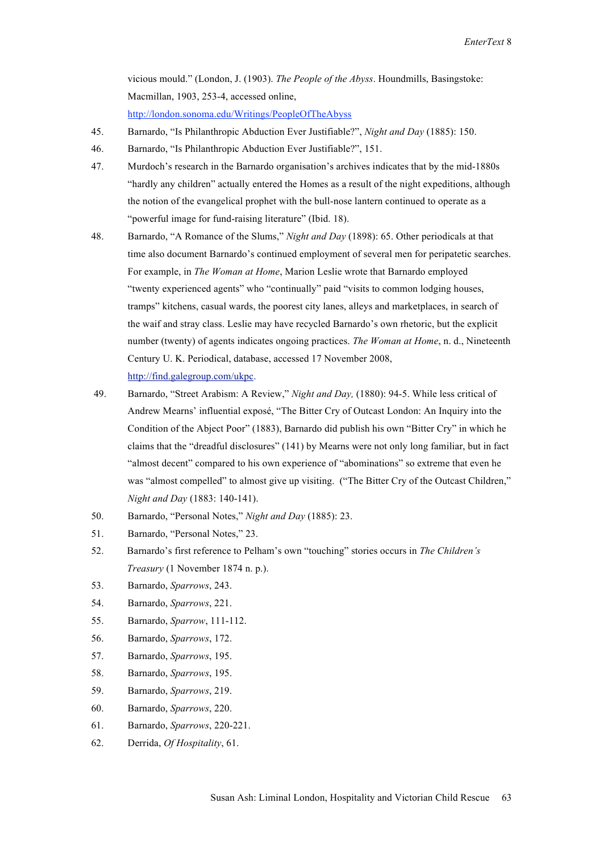vicious mould." (London, J. (1903). *The People of the Abyss*. Houndmills, Basingstoke: Macmillan, 1903, 253-4, accessed online,

http://london.sonoma.edu/Writings/PeopleOfTheAbyss

- 45. Barnardo, "Is Philanthropic Abduction Ever Justifiable?", *Night and Day* (1885): 150.
- 46. Barnardo, "Is Philanthropic Abduction Ever Justifiable?", 151.
- 47. Murdoch's research in the Barnardo organisation's archives indicates that by the mid-1880s "hardly any children" actually entered the Homes as a result of the night expeditions, although the notion of the evangelical prophet with the bull-nose lantern continued to operate as a "powerful image for fund-raising literature" (Ibid. 18).
- 48. Barnardo, "A Romance of the Slums," *Night and Day* (1898): 65. Other periodicals at that time also document Barnardo's continued employment of several men for peripatetic searches. For example, in *The Woman at Home*, Marion Leslie wrote that Barnardo employed "twenty experienced agents" who "continually" paid "visits to common lodging houses, tramps" kitchens, casual wards, the poorest city lanes, alleys and marketplaces, in search of the waif and stray class. Leslie may have recycled Barnardo's own rhetoric, but the explicit number (twenty) of agents indicates ongoing practices. *The Woman at Home*, n. d., Nineteenth Century U. K. Periodical, database, accessed 17 November 2008, http://find.galegroup.com/ukpc.
- 49. Barnardo, "Street Arabism: A Review," *Night and Day,* (1880): 94-5. While less critical of Andrew Mearns' influential exposé, "The Bitter Cry of Outcast London: An Inquiry into the Condition of the Abject Poor" (1883), Barnardo did publish his own "Bitter Cry" in which he claims that the "dreadful disclosures" (141) by Mearns were not only long familiar, but in fact "almost decent" compared to his own experience of "abominations" so extreme that even he was "almost compelled" to almost give up visiting. ("The Bitter Cry of the Outcast Children," *Night and Day* (1883: 140-141).
- 50. Barnardo, "Personal Notes," *Night and Day* (1885): 23.
- 51. Barnardo, "Personal Notes," 23.
- 52. Barnardo's first reference to Pelham's own "touching" stories occurs in *The Children's Treasury* (1 November 1874 n. p.).
- 53. Barnardo, *Sparrows*, 243.
- 54. Barnardo, *Sparrows*, 221.
- 55. Barnardo, *Sparrow*, 111-112.
- 56. Barnardo, *Sparrows*, 172.
- 57. Barnardo, *Sparrows*, 195.
- 58. Barnardo, *Sparrows*, 195.
- 59. Barnardo, *Sparrows*, 219.
- 60. Barnardo, *Sparrows*, 220.
- 61. Barnardo, *Sparrows*, 220-221.
- 62. Derrida, *Of Hospitality*, 61.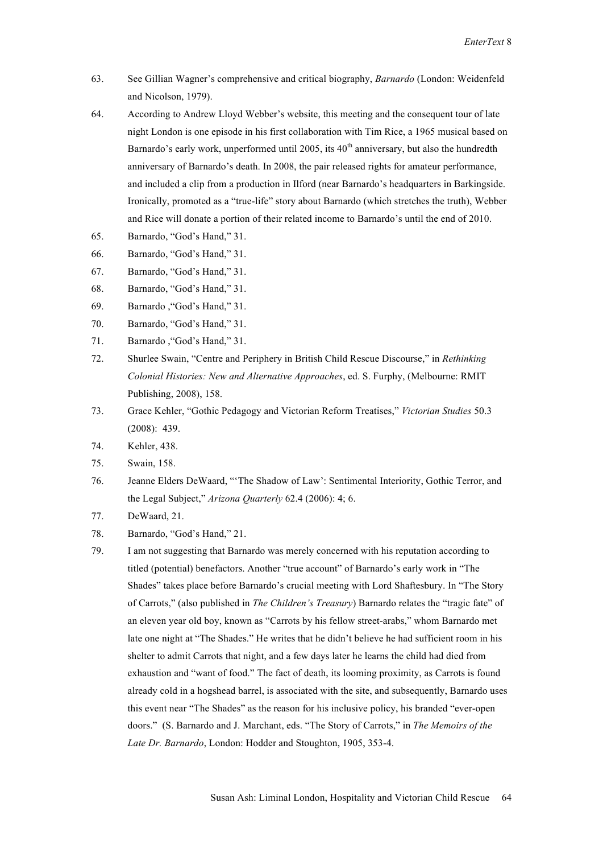- 63. See Gillian Wagner's comprehensive and critical biography, *Barnardo* (London: Weidenfeld and Nicolson, 1979).
- 64. According to Andrew Lloyd Webber's website, this meeting and the consequent tour of late night London is one episode in his first collaboration with Tim Rice, a 1965 musical based on Barnardo's early work, unperformed until 2005, its  $40<sup>th</sup>$  anniversary, but also the hundredth anniversary of Barnardo's death. In 2008, the pair released rights for amateur performance, and included a clip from a production in Ilford (near Barnardo's headquarters in Barkingside. Ironically, promoted as a "true-life" story about Barnardo (which stretches the truth), Webber and Rice will donate a portion of their related income to Barnardo's until the end of 2010.
- 65. Barnardo, "God's Hand," 31.
- 66. Barnardo, "God's Hand," 31.
- 67. Barnardo, "God's Hand," 31.
- 68. Barnardo, "God's Hand," 31.
- 69. Barnardo ,"God's Hand," 31.
- 70. Barnardo, "God's Hand," 31.
- 71. Barnardo ,"God's Hand," 31.
- 72. Shurlee Swain, "Centre and Periphery in British Child Rescue Discourse," in *Rethinking Colonial Histories: New and Alternative Approaches*, ed. S. Furphy, (Melbourne: RMIT Publishing, 2008), 158.
- 73. Grace Kehler, "Gothic Pedagogy and Victorian Reform Treatises," *Victorian Studies* 50.3 (2008): 439.
- 74. Kehler, 438.
- 75. Swain, 158.
- 76. Jeanne Elders DeWaard, "'The Shadow of Law': Sentimental Interiority, Gothic Terror, and the Legal Subject," *Arizona Quarterly* 62.4 (2006): 4; 6.
- 77. DeWaard, 21.
- 78. Barnardo, "God's Hand," 21.
- 79. I am not suggesting that Barnardo was merely concerned with his reputation according to titled (potential) benefactors. Another "true account" of Barnardo's early work in "The Shades" takes place before Barnardo's crucial meeting with Lord Shaftesbury. In "The Story of Carrots," (also published in *The Children's Treasury*) Barnardo relates the "tragic fate" of an eleven year old boy, known as "Carrots by his fellow street-arabs," whom Barnardo met late one night at "The Shades." He writes that he didn't believe he had sufficient room in his shelter to admit Carrots that night, and a few days later he learns the child had died from exhaustion and "want of food." The fact of death, its looming proximity, as Carrots is found already cold in a hogshead barrel, is associated with the site, and subsequently, Barnardo uses this event near "The Shades" as the reason for his inclusive policy, his branded "ever-open doors." (S. Barnardo and J. Marchant, eds. "The Story of Carrots," in *The Memoirs of the Late Dr. Barnardo*, London: Hodder and Stoughton, 1905, 353-4.